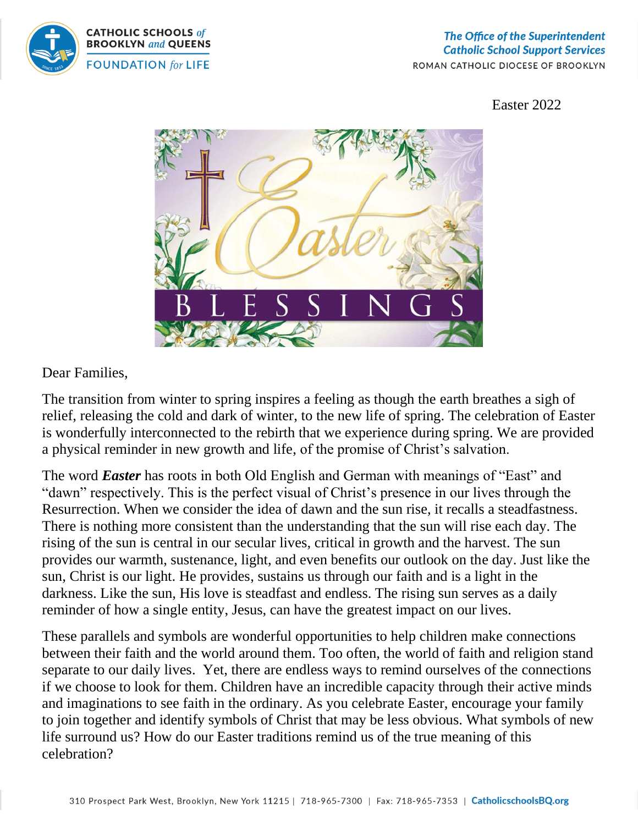

Easter 2022



## Dear Families,

The transition from winter to spring inspires a feeling as though the earth breathes a sigh of relief, releasing the cold and dark of winter, to the new life of spring. The celebration of Easter is wonderfully interconnected to the rebirth that we experience during spring. We are provided a physical reminder in new growth and life, of the promise of Christ's salvation.

The word *Easter* has roots in both Old English and German with meanings of "East" and "dawn" respectively. This is the perfect visual of Christ's presence in our lives through the Resurrection. When we consider the idea of dawn and the sun rise, it recalls a steadfastness. There is nothing more consistent than the understanding that the sun will rise each day. The rising of the sun is central in our secular lives, critical in growth and the harvest. The sun provides our warmth, sustenance, light, and even benefits our outlook on the day. Just like the sun, Christ is our light. He provides, sustains us through our faith and is a light in the darkness. Like the sun, His love is steadfast and endless. The rising sun serves as a daily reminder of how a single entity, Jesus, can have the greatest impact on our lives.

These parallels and symbols are wonderful opportunities to help children make connections between their faith and the world around them. Too often, the world of faith and religion stand separate to our daily lives. Yet, there are endless ways to remind ourselves of the connections if we choose to look for them. Children have an incredible capacity through their active minds and imaginations to see faith in the ordinary. As you celebrate Easter, encourage your family to join together and identify symbols of Christ that may be less obvious. What symbols of new life surround us? How do our Easter traditions remind us of the true meaning of this celebration?